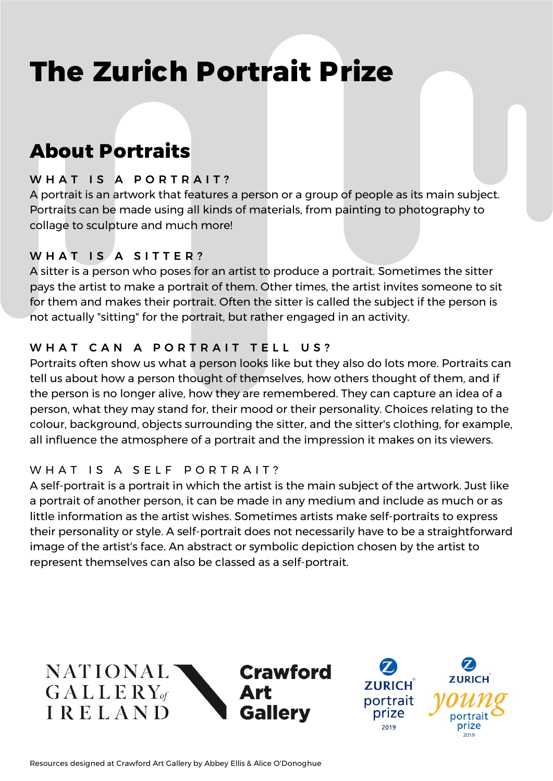## **The Zurich Portrait Prize**

### **About Portraits**

#### WHAT IS A PORTRAIT?

A portrait is an artwork that features a person or a group of people as its main subject. Portraits can be made using all kinds of materials, from painting to photography to collage to sculpture and much more!

#### WHAT IS A SITTER?

A sitter is a person who poses for an artist to produce a portrait. Sometimes the sitter pays the artist to make a portrait of them. Other times, the artist invites someone to sit for them and makes their portrait. Often the sitter is called the subject if the person is not actually "sitting" for the portrait, but rather engaged in an activity.

#### WHAT CAN A PORTRAIT TELL US?

Portraits often show us what a person looks like but they also do lots more. Portraits can tell us about how a person thought of themselves, how others thought of them, and if the person is no longer alive, how they are remembered. They can capture an idea of a person, what they may stand for, their mood or their personality. Choices relating to the colour, background, objects surrounding the sitter, and the sitter's clothing, for example, all influence the atmosphere of a portrait and the impression it makes on its viewers.

#### W H A T I S A SELF POR TRAIT?

A self-portrait is a portrait in which the artist is the main subject of the artwork. Just like a portrait of another person, it can be made in any medium and include as much or as little information as the artist wishes. Sometimes artists make self-portraits to express their personality or style. A self-portrait does not necessarily have to be a straightforward image of the artist's face. An abstract or symbolic depiction chosen by the artist to represent themselves can also be classed as a self-portrait.

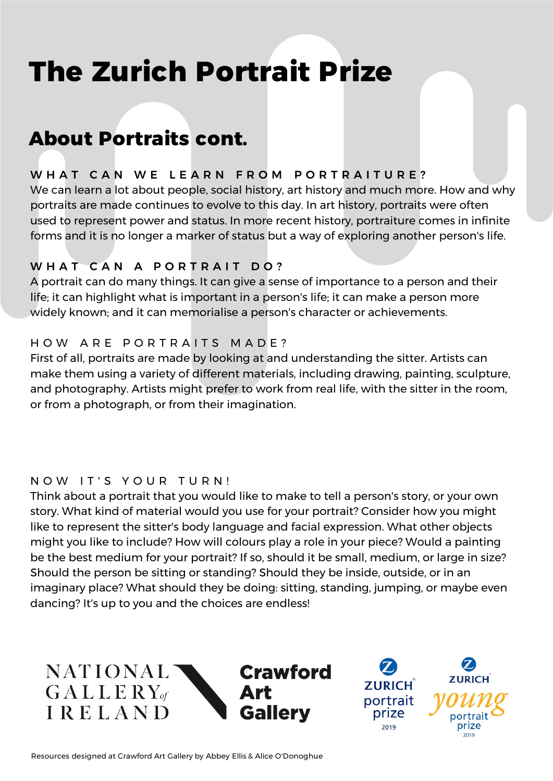## **The Zurich Portrait Prize**

### **About Portraits cont.**

#### WHAT CAN WE LEARN FROM PORTRAITURE?

We can learn a lot about people, social history, art history and much more. How and why portraits are made continues to evolve to this day. In art history, portraits were often used to represent power and status. In more recent history, portraiture comes in infinite forms and it is no longer a marker of status but a way of exploring another person's life.

#### WHAT CAN A PORTRAIT DO?

A portrait can do many things. It can give a sense of importance to a person and their life; it can highlight what is important in a person's life; it can make a person more widely known; and it can memorialise a person's character or achievements.

#### HOW ARE PORTRAITS MADE?

First of all, portraits are made by looking at and understanding the sitter. Artists can make them using a variety of different materials, including drawing, painting, sculpture, and photography. Artists might prefer to work from real life, with the sitter in the room, or from a photograph, or from their imagination.

#### NOW IT'S YOUR TURN!

Think about a portrait that you would like to make to tell a person's story, or your own story. What kind of material would you use for your portrait? Consider how you might like to represent the sitter's body language and facial expression. What other objects might you like to include? How will colours play a role in your piece? Would a painting be the best medium for your portrait? If so, should it be small, medium, or large in size? Should the person be sitting or standing? Should they be inside, outside, or in an imaginary place? What should they be doing: sitting, standing, jumping, or maybe even dancing? It's up to you and the choices are endless!